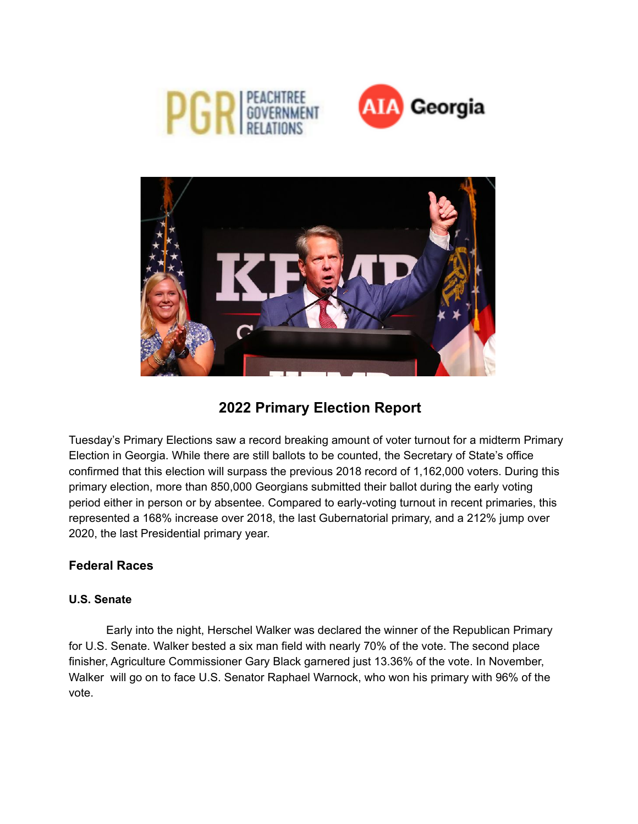





# **2022 Primary Election Report**

Tuesday's Primary Elections saw a record breaking amount of voter turnout for a midterm Primary Election in Georgia. While there are still ballots to be counted, the Secretary of State's office confirmed that this election will surpass the previous 2018 record of 1,162,000 voters. During this primary election, more than 850,000 Georgians submitted their ballot during the early voting period either in person or by absentee. Compared to early-voting turnout in recent primaries, this represented a 168% increase over 2018, the last Gubernatorial primary, and a 212% jump over 2020, the last Presidential primary year.

# **Federal Races**

# **U.S. Senate**

Early into the night, Herschel Walker was declared the winner of the Republican Primary for U.S. Senate. Walker bested a six man field with nearly 70% of the vote. The second place finisher, Agriculture Commissioner Gary Black garnered just 13.36% of the vote. In November, Walker will go on to face U.S. Senator Raphael Warnock, who won his primary with 96% of the vote.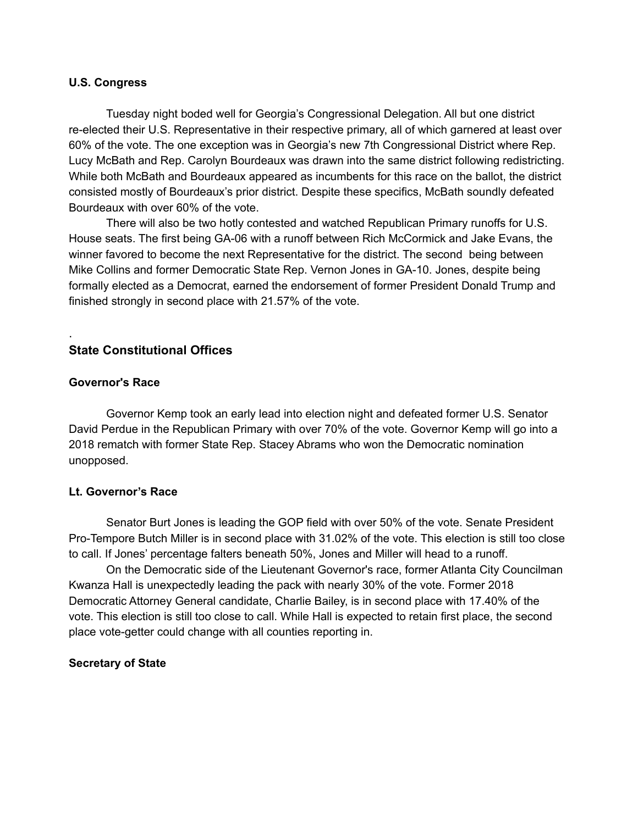#### **U.S. Congress**

Tuesday night boded well for Georgia's Congressional Delegation. All but one district re-elected their U.S. Representative in their respective primary, all of which garnered at least over 60% of the vote. The one exception was in Georgia's new 7th Congressional District where Rep. Lucy McBath and Rep. Carolyn Bourdeaux was drawn into the same district following redistricting. While both McBath and Bourdeaux appeared as incumbents for this race on the ballot, the district consisted mostly of Bourdeaux's prior district. Despite these specifics, McBath soundly defeated Bourdeaux with over 60% of the vote.

There will also be two hotly contested and watched Republican Primary runoffs for U.S. House seats. The first being GA-06 with a runoff between Rich McCormick and Jake Evans, the winner favored to become the next Representative for the district. The second being between Mike Collins and former Democratic State Rep. Vernon Jones in GA-10. Jones, despite being formally elected as a Democrat, earned the endorsement of former President Donald Trump and finished strongly in second place with 21.57% of the vote.

# **State Constitutional Offices**

#### **Governor's Race**

.

Governor Kemp took an early lead into election night and defeated former U.S. Senator David Perdue in the Republican Primary with over 70% of the vote. Governor Kemp will go into a 2018 rematch with former State Rep. Stacey Abrams who won the Democratic nomination unopposed.

## **Lt. Governor's Race**

Senator Burt Jones is leading the GOP field with over 50% of the vote. Senate President Pro-Tempore Butch Miller is in second place with 31.02% of the vote. This election is still too close to call. If Jones' percentage falters beneath 50%, Jones and Miller will head to a runoff.

On the Democratic side of the Lieutenant Governor's race, former Atlanta City Councilman Kwanza Hall is unexpectedly leading the pack with nearly 30% of the vote. Former 2018 Democratic Attorney General candidate, Charlie Bailey, is in second place with 17.40% of the vote. This election is still too close to call. While Hall is expected to retain first place, the second place vote-getter could change with all counties reporting in.

## **Secretary of State**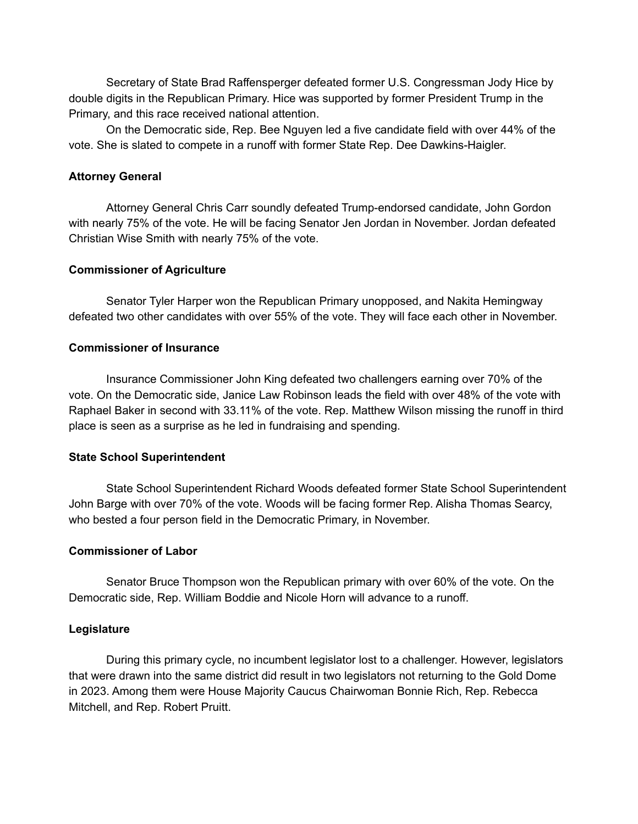Secretary of State Brad Raffensperger defeated former U.S. Congressman Jody Hice by double digits in the Republican Primary. Hice was supported by former President Trump in the Primary, and this race received national attention.

On the Democratic side, Rep. Bee Nguyen led a five candidate field with over 44% of the vote. She is slated to compete in a runoff with former State Rep. Dee Dawkins-Haigler.

#### **Attorney General**

Attorney General Chris Carr soundly defeated Trump-endorsed candidate, John Gordon with nearly 75% of the vote. He will be facing Senator Jen Jordan in November. Jordan defeated Christian Wise Smith with nearly 75% of the vote.

## **Commissioner of Agriculture**

Senator Tyler Harper won the Republican Primary unopposed, and Nakita Hemingway defeated two other candidates with over 55% of the vote. They will face each other in November.

#### **Commissioner of Insurance**

Insurance Commissioner John King defeated two challengers earning over 70% of the vote. On the Democratic side, Janice Law Robinson leads the field with over 48% of the vote with Raphael Baker in second with 33.11% of the vote. Rep. Matthew Wilson missing the runoff in third place is seen as a surprise as he led in fundraising and spending.

#### **State School Superintendent**

State School Superintendent Richard Woods defeated former State School Superintendent John Barge with over 70% of the vote. Woods will be facing former Rep. Alisha Thomas Searcy, who bested a four person field in the Democratic Primary, in November.

#### **Commissioner of Labor**

Senator Bruce Thompson won the Republican primary with over 60% of the vote. On the Democratic side, Rep. William Boddie and Nicole Horn will advance to a runoff.

## **Legislature**

During this primary cycle, no incumbent legislator lost to a challenger. However, legislators that were drawn into the same district did result in two legislators not returning to the Gold Dome in 2023. Among them were House Majority Caucus Chairwoman Bonnie Rich, Rep. Rebecca Mitchell, and Rep. Robert Pruitt.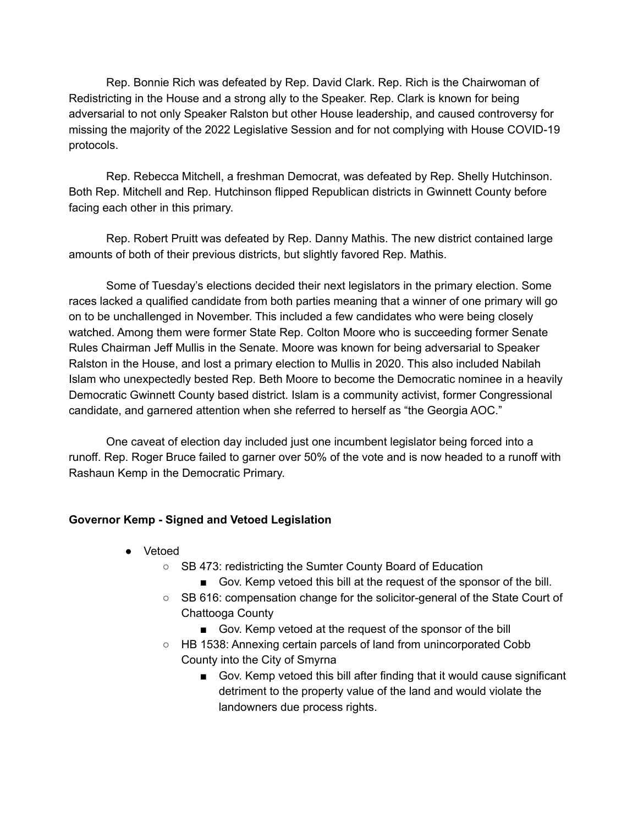Rep. Bonnie Rich was defeated by Rep. David Clark. Rep. Rich is the Chairwoman of Redistricting in the House and a strong ally to the Speaker. Rep. Clark is known for being adversarial to not only Speaker Ralston but other House leadership, and caused controversy for missing the majority of the 2022 Legislative Session and for not complying with House COVID-19 protocols.

Rep. Rebecca Mitchell, a freshman Democrat, was defeated by Rep. Shelly Hutchinson. Both Rep. Mitchell and Rep. Hutchinson flipped Republican districts in Gwinnett County before facing each other in this primary.

Rep. Robert Pruitt was defeated by Rep. Danny Mathis. The new district contained large amounts of both of their previous districts, but slightly favored Rep. Mathis.

Some of Tuesday's elections decided their next legislators in the primary election. Some races lacked a qualified candidate from both parties meaning that a winner of one primary will go on to be unchallenged in November. This included a few candidates who were being closely watched. Among them were former State Rep. Colton Moore who is succeeding former Senate Rules Chairman Jeff Mullis in the Senate. Moore was known for being adversarial to Speaker Ralston in the House, and lost a primary election to Mullis in 2020. This also included Nabilah Islam who unexpectedly bested Rep. Beth Moore to become the Democratic nominee in a heavily Democratic Gwinnett County based district. Islam is a community activist, former Congressional candidate, and garnered attention when she referred to herself as "the Georgia AOC."

One caveat of election day included just one incumbent legislator being forced into a runoff. Rep. Roger Bruce failed to garner over 50% of the vote and is now headed to a runoff with Rashaun Kemp in the Democratic Primary.

# **Governor Kemp - Signed and Vetoed Legislation**

- Vetoed
	- SB 473: redistricting the Sumter County Board of Education
		- Gov. Kemp vetoed this bill at the request of the sponsor of the bill.
	- SB 616: compensation change for the solicitor-general of the State Court of Chattooga County
		- Gov. Kemp vetoed at the request of the sponsor of the bill
	- HB 1538: Annexing certain parcels of land from unincorporated Cobb County into the City of Smyrna
		- Gov. Kemp vetoed this bill after finding that it would cause significant detriment to the property value of the land and would violate the landowners due process rights.